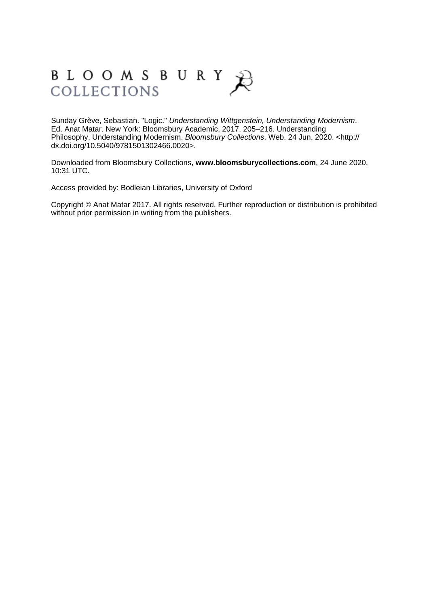# BLOOMSBURY<sub>2</sub>

Sunday Grève, Sebastian. "Logic." Understanding Wittgenstein, Understanding Modernism. Ed. Anat Matar. New York: Bloomsbury Academic, 2017. 205–216. Understanding Philosophy, Understanding Modernism. Bloomsbury Collections. Web. 24 Jun. 2020. <http:// dx.doi.org/10.5040/9781501302466.0020>.

Downloaded from Bloomsbury Collections, **[www.bloomsburycollections.com](http://www.bloomsburycollections.com)**, 24 June 2020, 10:31 UTC.

Access provided by: Bodleian Libraries, University of Oxford

Copyright © Anat Matar 2017. All rights reserved. Further reproduction or distribution is prohibited without prior permission in writing from the publishers.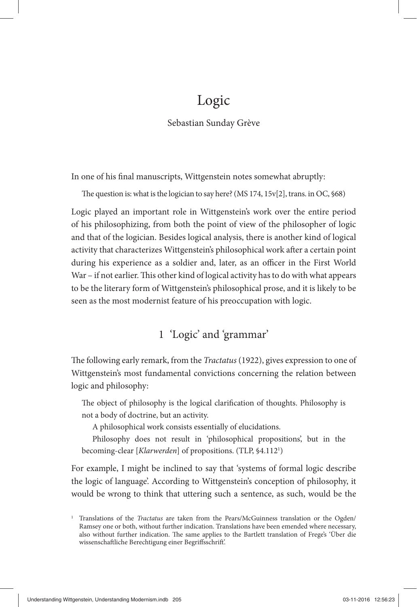## Logic

Sebastian Sunday Grève

In one of his final manuscripts, Wittgenstein notes somewhat abruptly:

The question is: what is the logician to say here? (MS  $174$ ,  $15v[2]$ , trans. in OC,  $$68$ )

Logic played an important role in Wittgenstein's work over the entire period of his philosophizing, from both the point of view of the philosopher of logic and that of the logician. Besides logical analysis, there is another kind of logical activity that characterizes Wittgenstein's philosophical work after a certain point during his experience as a soldier and, later, as an officer in the First World War – if not earlier. This other kind of logical activity has to do with what appears to be the literary form of Wittgenstein's philosophical prose, and it is likely to be seen as the most modernist feature of his preoccupation with logic.

### 1 'Logic' and 'grammar'

The following early remark, from the *Tractatus* (1922), gives expression to one of Wittgenstein's most fundamental convictions concerning the relation between logic and philosophy:

The object of philosophy is the logical clarification of thoughts. Philosophy is not a body of doctrine, but an activity.

A philosophical work consists essentially of elucidations.

Philosophy does not result in 'philosophical propositions', but in the becoming-clear [Klarwerden] of propositions. (TLP, §4.112<sup>1</sup>)

For example, I might be inclined to say that 'systems of formal logic describe the logic of language'. According to Wittgenstein's conception of philosophy, it would be wrong to think that uttering such a sentence, as such, would be the

<sup>&</sup>lt;sup>1</sup> Translations of the *Tractatus* are taken from the Pears/McGuinness translation or the Ogden/ Ramsey one or both, without further indication. Translations have been emended where necessary, also without further indication. The same applies to the Bartlett translation of Frege's 'Über die wissenschaftliche Berechtigung einer Begriffsschrift'.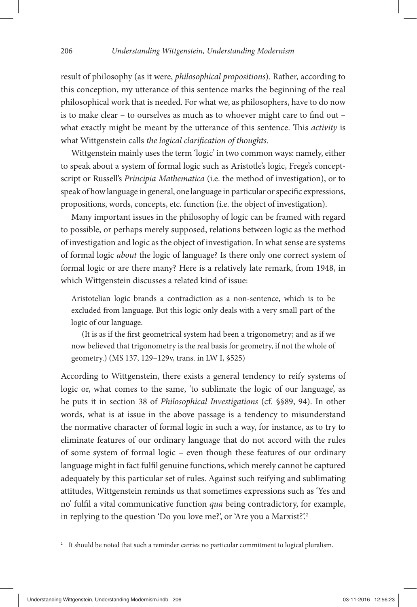result of philosophy (as it were, *philosophical propositions* ). Rather, according to this conception, my utterance of this sentence marks the beginning of the real philosophical work that is needed. For what we, as philosophers, have to do now is to make clear – to ourselves as much as to whoever might care to find out – what exactly might be meant by the utterance of this sentence. This *activity* is what Wittgenstein calls *the logical clarification of thoughts*.

Wittgenstein mainly uses the term 'logic' in two common ways: namely, either to speak about a system of formal logic such as Aristotle's logic, Frege's conceptscript or Russell's *Principia Mathematica* (i.e. the method of investigation), or to speak of how language in general, one language in particular or specific expressions, propositions, words, concepts, etc. function (i.e. the object of investigation).

Many important issues in the philosophy of logic can be framed with regard to possible, or perhaps merely supposed, relations between logic as the method of investigation and logic as the object of investigation. In what sense are systems of formal logic *about* the logic of language? Is there only one correct system of formal logic or are there many? Here is a relatively late remark, from 1948, in which Wittgenstein discusses a related kind of issue:

 Aristotelian logic brands a contradiction as a non-sentence, which is to be excluded from language. But this logic only deals with a very small part of the logic of our language.

(It is as if the first geometrical system had been a trigonometry; and as if we now believed that trigonometry is the real basis for geometry, if not the whole of geometry.) (MS 137, 129-129v, trans. in LW I, §525)

 According to Wittgenstein, there exists a general tendency to reify systems of logic or, what comes to the same, 'to sublimate the logic of our language', as he puts it in section 38 of *Philosophical Investigations* (cf. § § 89, 94). In other words, what is at issue in the above passage is a tendency to misunderstand the normative character of formal logic in such a way, for instance, as to try to eliminate features of our ordinary language that do not accord with the rules of some system of formal logic – even though these features of our ordinary language might in fact fulfil genuine functions, which merely cannot be captured adequately by this particular set of rules. Against such reifying and sublimating attitudes, Wittgenstein reminds us that sometimes expressions such as ' Yes and no' fulfil a vital communicative function *qua* being contradictory, for example, in replying to the question 'Do you love me?', or 'Are you a Marxist?'.<sup>2</sup>

<sup>&</sup>lt;sup>2</sup> It should be noted that such a reminder carries no particular commitment to logical pluralism.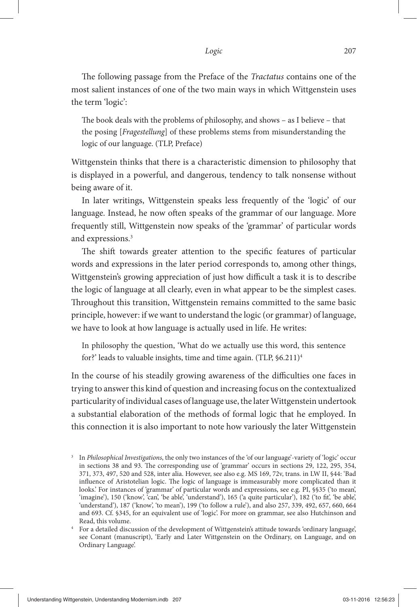The following passage from the Preface of the *Tractatus* contains one of the most salient instances of one of the two main ways in which Wittgenstein uses the term 'logic':

The book deals with the problems of philosophy, and shows  $-$  as I believe  $-$  that the posing [ *Fragestellung* ] of these problems stems from misunderstanding the logic of our language. (TLP, Preface)

 Wittgenstein thinks that there is a characteristic dimension to philosophy that is displayed in a powerful, and dangerous, tendency to talk nonsense without being aware of it.

In later writings, Wittgenstein speaks less frequently of the 'logic' of our language. Instead, he now often speaks of the grammar of our language. More frequently still, Wittgenstein now speaks of the 'grammar' of particular words and expressions.<sup>3</sup>

The shift towards greater attention to the specific features of particular words and expressions in the later period corresponds to, among other things, Wittgenstein's growing appreciation of just how difficult a task it is to describe the logic of language at all clearly, even in what appear to be the simplest cases. Throughout this transition, Wittgenstein remains committed to the same basic principle, however: if we want to understand the logic (or grammar) of language, we have to look at how language is actually used in life. He writes:

In philosophy the question, 'What do we actually use this word, this sentence for?' leads to valuable insights, time and time again.  $(TLP, $6.211)^4$ 

In the course of his steadily growing awareness of the difficulties one faces in trying to answer this kind of question and increasing focus on the contextualized particularity of individual cases of language use, the later Wittgenstein undertook a substantial elaboration of the methods of formal logic that he employed. In this connection it is also important to note how variously the later Wittgenstein

<sup>&</sup>lt;sup>3</sup> In *Philosophical Investigations*, the only two instances of the 'of our language'-variety of 'logic' occur in sections 38 and 93. The corresponding use of 'grammar' occurs in sections 29, 122, 295, 354, 371, 373, 497, 520 and 528, inter alia. However, see also e.g. MS 169, 72v, trans. in LW II, §44: ' Bad influence of Aristotelian logic. The logic of language is immeasurably more complicated than it looks.' For instances of 'grammar' of particular words and expressions, see e.g. PI, §§35 ('to mean', 'imagine'), 150 ('know', 'can', 'be able, 'understand'), 165 ('a quite particular'), 182 ('to fit', 'be able', 'understand'), 187 ('know', 'to mean'), 199 ('to follow a rule'), and also 257, 339, 492, 657, 660, 664 and 693. Cf. §345, for an equivalent use of 'logic'. For more on grammar, see also Hutchinson and Read, this volume.

Read, this volume.<br><sup>4</sup> For a detailed discussion of the development of Wittgenstein's attitude towards 'ordinary language', see Conant (manuscript), 'Early and Later Wittgenstein on the Ordinary, on Language, and on Ordinary Language'.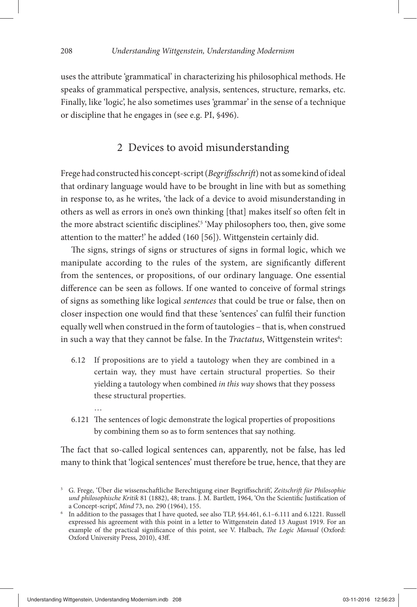uses the attribute 'grammatical' in characterizing his philosophical methods. He speaks of grammatical perspective, analysis, sentences, structure, remarks, etc. Finally, like 'logic', he also sometimes uses 'grammar' in the sense of a technique or discipline that he engages in (see e.g. PI, §496).

#### 2 Devices to avoid misunderstanding

Frege had constructed his concept-script (*Begriffsschrift*) not as some kind of ideal that ordinary language would have to be brought in line with but as something in response to, as he writes, 'the lack of a device to avoid misunderstanding in others as well as errors in one's own thinking [that] makes itself so often felt in the more abstract scientific disciplines.<sup>5</sup> 'May philosophers too, then, give some attention to the matter!' he added (160 [56]). Wittgenstein certainly did.

The signs, strings of signs or structures of signs in formal logic, which we manipulate according to the rules of the system, are significantly different from the sentences, or propositions, of our ordinary language. One essential difference can be seen as follows. If one wanted to conceive of formal strings of signs as something like logical *sentences* that could be true or false, then on closer inspection one would find that these 'sentences' can fulfil their function equally well when construed in the form of tautologies – that is, when construed in such a way that they cannot be false. In the *Tractatus*, Wittgenstein writes<sup>6</sup>:

- 6.12 If propositions are to yield a tautology when they are combined in a certain way, they must have certain structural properties. So their yielding a tautology when combined *in this way* shows that they possess these structural properties.
- 6.121 The sentences of logic demonstrate the logical properties of propositions by combining them so as to form sentences that say nothing.

The fact that so-called logical sentences can, apparently, not be false, has led many to think that 'logical sentences' must therefore be true, hence, that they are

…

<sup>5</sup> G. Frege, ' Ü ber die wissenschaft liche Berechtigung einer Begriff sschrift ', *Zeitschrift f ü r Philosophie und philosophische Kritik* 81 (1882), 48; trans. J. M. Bartlett, 1964, 'On the Scientific Justification of a Concept-script', *Mind* 73, no. 290 (1964), 155.

<sup>&</sup>lt;sup>6</sup> In addition to the passages that I have quoted, see also TLP, \$\$4.461, 6.1-6.111 and 6.1221. Russell expressed his agreement with this point in a letter to Wittgenstein dated 13 August 1919. For an example of the practical significance of this point, see V. Halbach, *The Logic Manual* (Oxford: Oxford University Press, 2010), 43ff.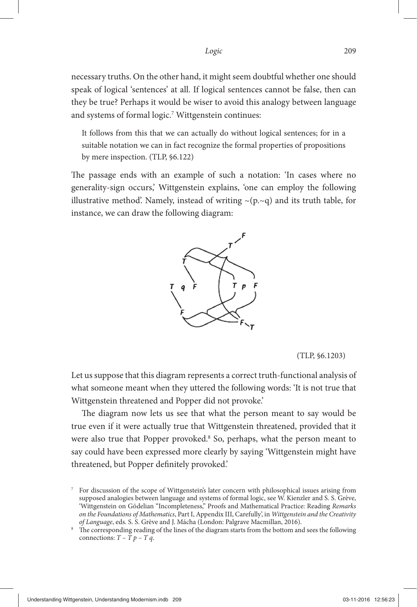necessary truths. On the other hand, it might seem doubtful whether one should speak of logical 'sentences' at all. If logical sentences cannot be false, then can they be true? Perhaps it would be wiser to avoid this analogy between language and systems of formal logic.<sup>7</sup> Wittgenstein continues:

 It follows from this that we can actually do without logical sentences; for in a suitable notation we can in fact recognize the formal properties of propositions by mere inspection. (TLP, §6.122)

The passage ends with an example of such a notation: 'In cases where no generality-sign occurs, ' Wittgenstein explains, ' one can employ the following illustrative method'. Namely, instead of writing  $\sim$ (p. $\sim$ q) and its truth table, for instance, we can draw the following diagram:



(TLP, § 6.1203)

 Let us suppose that this diagram represents a correct truth-functional analysis of what someone meant when they uttered the following words: 'It is not true that Wittgenstein threatened and Popper did not provoke.'

The diagram now lets us see that what the person meant to say would be true even if it were actually true that Wittgenstein threatened, provided that it were also true that Popper provoked.<sup>8</sup> So, perhaps, what the person meant to say could have been expressed more clearly by saying 'Wittgenstein might have threatened, but Popper definitely provoked.'

<sup>7</sup> For discussion of the scope of Wittgenstein's later concern with philosophical issues arising from supposed analogies between language and systems of formal logic, see W. Kienzler and S. S. Grève, 'Wittgenstein on Gödelian "Incompleteness," Proofs and Mathematical Practice: Reading Remarks *on the Foundations of Mathematics*, Part I, Appendix III, Carefully', in *Wittgenstein and the Creativity of Language*, eds. S. S. Grève and J. Mácha (London: Palgrave Macmillan, 2016).

*of Language*, eds. S. S. Grève and J. Mácha (London: Palgrave Macmillan, 2016).<br><sup>8</sup> The corresponding reading of the lines of the diagram starts from the bottom and sees the following connections:  $T - T p - T q$ .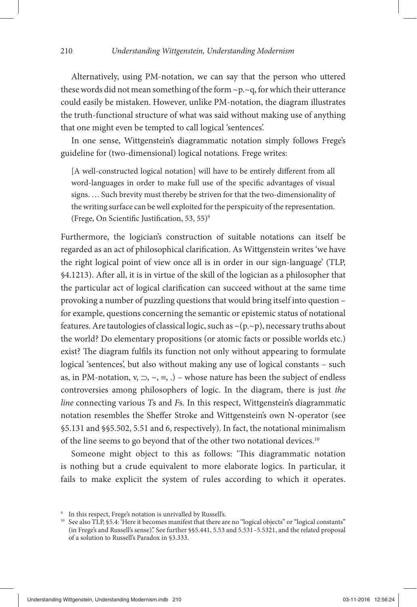Alternatively, using PM-notation, we can say that the person who uttered these words did not mean something of the form  $\neg p, \neg q$ , for which their utterance could easily be mistaken. However, unlike PM-notation, the diagram illustrates the truth-functional structure of what was said without making use of anything that one might even be tempted to call logical 'sentences'.

In one sense, Wittgenstein's diagrammatic notation simply follows Frege's guideline for (two-dimensional) logical notations. Frege writes:

[A well-constructed logical notation] will have to be entirely different from all word-languages in order to make full use of the specific advantages of visual signs. … Such brevity must thereby be striven for that the two-dimensionality of the writing surface can be well exploited for the perspicuity of the representation. (Frege, On Scientific Justification, 53, 55) $^{\circ}$ 

Furthermore, the logician's construction of suitable notations can itself be regarded as an act of philosophical clarification. As Wittgenstein writes 'we have the right logical point of view once all is in order in our sign-language' (TLP, §4.1213). After all, it is in virtue of the skill of the logician as a philosopher that the particular act of logical clarification can succeed without at the same time provoking a number of puzzling questions that would bring itself into question – for example, questions concerning the semantic or epistemic status of notational features. Are tautologies of classical logic, such as  $\sim$ (p. $\sim$ p), necessary truths about the world? Do elementary propositions (or atomic facts or possible worlds etc.) exist? The diagram fulfils its function not only without appearing to formulate logical 'sentences', but also without making any use of logical constants – such as, in PM-notation, v,  $\supset$ ,  $\sim$ ,  $\equiv$ , .) – whose nature has been the subject of endless controversies among philosophers of logic. In the diagram, there is just *the line* connecting various *Ts* and *Fs*. In this respect, Wittgenstein's diagrammatic notation resembles the Sheffer Stroke and Wittgenstein's own N-operator (see § 5.131 and § § 5.502, 5.51 and 6, respectively). In fact, the notational minimalism of the line seems to go beyond that of the other two notational devices. 10

Someone might object to this as follows: 'This diagrammatic notation is nothing but a crude equivalent to more elaborate logics. In particular, it fails to make explicit the system of rules according to which it operates.

<sup>&</sup>lt;sup>9</sup> In this respect, Frege's notation is unrivalled by Russell's.

<sup>&</sup>lt;sup>10</sup> See also TLP, \$5.4: 'Here it becomes manifest that there are no "logical objects" or "logical constants" (in Frege's and Russell's sense)". See further \$\$5.441, 5.53 and 5.531-5.5321, and the related proposal of a solution to Russell's Paradox in §3.333.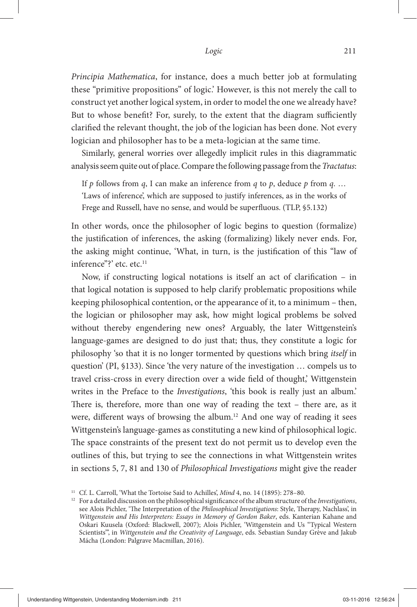*Principia Mathematica* , for instance, does a much better job at formulating these "primitive propositions" of logic.' However, is this not merely the call to construct yet another logical system, in order to model the one we already have? But to whose benefit? For, surely, to the extent that the diagram sufficiently clarified the relevant thought, the job of the logician has been done. Not every logician and philosopher has to be a meta-logician at the same time.

 Similarly, general worries over allegedly implicit rules in this diagrammatic analysis seem quite out of place. Compare the following passage from the *Tractatus*:

If  $p$  follows from  $q$ , I can make an inference from  $q$  to  $p$ , deduce  $p$  from  $q$ ... 'Laws of inference', which are supposed to justify inferences, as in the works of Frege and Russell, have no sense, and would be superfluous. (TLP, \$5.132)

 In other words, once the philosopher of logic begins to question (formalize) the justification of inferences, the asking (formalizing) likely never ends. For, the asking might continue, 'What, in turn, is the justification of this "law of inference"?' etc. etc.<sup>11</sup>

Now, if constructing logical notations is itself an act of clarification  $-$  in that logical notation is supposed to help clarify problematic propositions while keeping philosophical contention, or the appearance of it, to a minimum – then, the logician or philosopher may ask, how might logical problems be solved without thereby engendering new ones? Arguably, the later Wittgenstein's language-games are designed to do just that; thus, they constitute a logic for philosophy 'so that it is no longer tormented by questions which bring *itself* in question' (PI,  $$133$ ). Since 'the very nature of the investigation ... compels us to travel criss-cross in every direction over a wide field of thought, Wittgenstein writes in the Preface to the *Investigations*, 'this book is really just an album.' There is, therefore, more than one way of reading the text  $-$  there are, as it were, different ways of browsing the album.<sup>12</sup> And one way of reading it sees Wittgenstein's language-games as constituting a new kind of philosophical logic. The space constraints of the present text do not permit us to develop even the outlines of this, but trying to see the connections in what Wittgenstein writes in sections 5, 7, 81 and 130 of *Philosophical Investigations* might give the reader

<sup>&</sup>lt;sup>11</sup> Cf. L. Carroll, 'What the Tortoise Said to Achilles', *Mind* 4, no. 14 (1895): 278–80.<br><sup>12</sup> For a detailed discussion on the philosophical significance of the album structure of the *Investigations*, see Alois Pichler, 'The Interpretation of the *Philosophical Investigations*: Style, Therapy, Nachlass', in *Wittgenstein and His Interpreters: Essays in Memory of Gordon Baker*, eds. Kanterian Kahane and Oskari Kuusela (Oxford: Blackwell, 2007); Alois Pichler, 'Wittgenstein and Us "Typical Western Scientists"', in *Wittgenstein and the Creativity of Language*, eds. Sebastian Sunday Grève and Jakub Mácha (London: Palgrave Macmillan, 2016).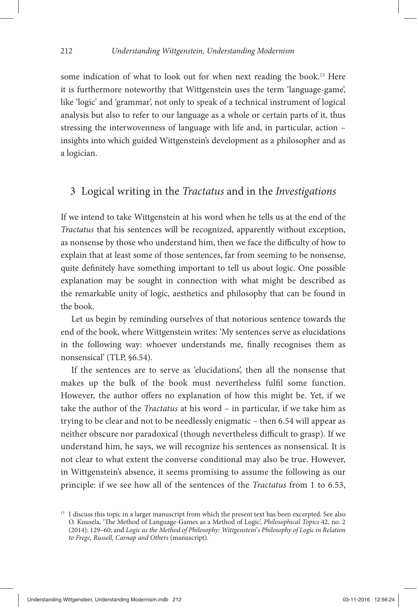some indication of what to look out for when next reading the book.<sup>13</sup> Here it is furthermore noteworthy that Wittgenstein uses the term 'language-game', like 'logic' and 'grammar', not only to speak of a technical instrument of logical analysis but also to refer to our language as a whole or certain parts of it, thus stressing the interwovenness of language with life and, in particular, action – insights into which guided Wittgenstein's development as a philosopher and as a logician.

#### 3 Logical writing in the *Tractatus* and in the *Investigations*

 If we intend to take Wittgenstein at his word when he tells us at the end of the *Tractatus* that his sentences will be recognized, apparently without exception, as nonsense by those who understand him, then we face the difficulty of how to explain that at least some of those sentences, far from seeming to be nonsense, quite definitely have something important to tell us about logic. One possible explanation may be sought in connection with what might be described as the remarkable unity of logic, aesthetics and philosophy that can be found in the book.

 Let us begin by reminding ourselves of that notorious sentence towards the end of the book, where Wittgenstein writes: 'My sentences serve as elucidations in the following way: whoever understands me, finally recognises them as nonsensical' (TLP, §6.54).

If the sentences are to serve as 'elucidations', then all the nonsense that makes up the bulk of the book must nevertheless fulfil some function. However, the author offers no explanation of how this might be. Yet, if we take the author of the *Tractatus* at his word – in particular, if we take him as trying to be clear and not to be needlessly enigmatic – then 6.54 will appear as neither obscure nor paradoxical (though nevertheless difficult to grasp). If we understand him, he says, we will recognize his sentences as nonsensical. It is not clear to what extent the converse conditional may also be true. However, in Wittgenstein's absence, it seems promising to assume the following as our principle: if we see how all of the sentences of the *Tractatus* from 1 to 6.53,

<sup>&</sup>lt;sup>13</sup> I discuss this topic in a larger manuscript from which the present text has been excerpted. See also O. Kuusela, 'The Method of Language-Games as a Method of Logic', *Philosophical Topics* 42, no. 2 (2014): 129–60; and *Logic as the Method of Philosophy: Wittgenstein* ' *s Philosophy of Logic in Relation to Frege, Russell, Carnap and Others* (manuscript).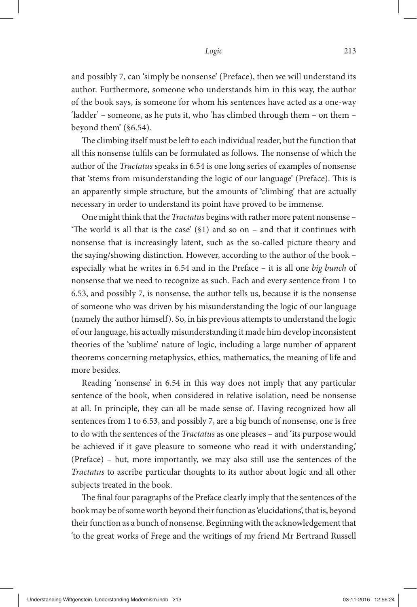and possibly 7, can 'simply be nonsense' (Preface), then we will understand its author. Furthermore, someone who understands him in this way, the author of the book says, is someone for whom his sentences have acted as a one-way 'ladder' – someone, as he puts it, who 'has climbed through them – on them – beyond them' (\$6.54).

The climbing itself must be left to each individual reader, but the function that all this nonsense fulfils can be formulated as follows. The nonsense of which the author of the *Tractatus* speaks in 6.54 is one long series of examples of nonsense that 'stems from misunderstanding the logic of our language' (Preface). This is an apparently simple structure, but the amounts of 'climbing' that are actually necessary in order to understand its point have proved to be immense.

 One might think that the *Tractatus* begins with rather more patent nonsense – 'The world is all that is the case'  $(\S1)$  and so on – and that it continues with nonsense that is increasingly latent, such as the so-called picture theory and the saying/showing distinction. However, according to the author of the book – especially what he writes in 6.54 and in the Preface – it is all one *big bunch* of nonsense that we need to recognize as such. Each and every sentence from 1 to 6.53, and possibly 7, is nonsense, the author tells us, because it is the nonsense of someone who was driven by his misunderstanding the logic of our language (namely the author himself). So, in his previous attempts to understand the logic of our language, his actually misunderstanding it made him develop inconsistent theories of the 'sublime' nature of logic, including a large number of apparent theorems concerning metaphysics, ethics, mathematics, the meaning of life and more besides.

 Reading 'nonsense' in 6.54 in this way does not imply that any particular sentence of the book, when considered in relative isolation, need be nonsense at all. In principle, they can all be made sense of. Having recognized how all sentences from 1 to 6.53, and possibly 7, are a big bunch of nonsense, one is free to do with the sentences of the *Tractatus* as one pleases – and 'its purpose would be achieved if it gave pleasure to someone who read it with understanding, ' (Preface) – but, more importantly, we may also still use the sentences of the *Tractatus* to ascribe particular thoughts to its author about logic and all other subjects treated in the book.

The final four paragraphs of the Preface clearly imply that the sentences of the book may be of some worth beyond their function as 'elucidations', that is, beyond their function as a bunch of nonsense. Beginning with the acknowledgement that 'to the great works of Frege and the writings of my friend Mr Bertrand Russell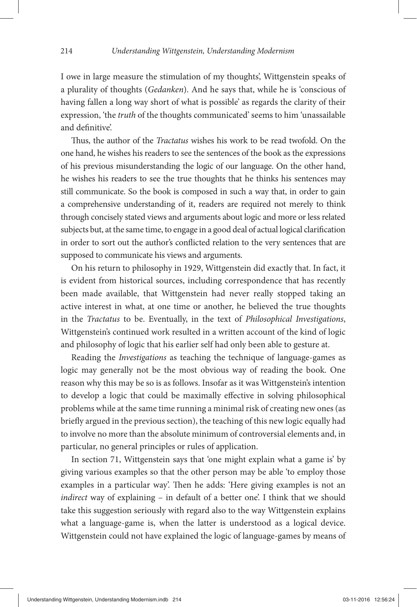I owe in large measure the stimulation of my thoughts', Wittgenstein speaks of a plurality of thoughts (*Gedanken*). And he says that, while he is 'conscious of having fallen a long way short of what is possible' as regards the clarity of their expression, 'the *truth* of the thoughts communicated' seems to him 'unassailable and definitive.

Thus, the author of the *Tractatus* wishes his work to be read twofold. On the one hand, he wishes his readers to see the sentences of the book as the expressions of his previous misunderstanding the logic of our language. On the other hand, he wishes his readers to see the true thoughts that he thinks his sentences may still communicate. So the book is composed in such a way that, in order to gain a comprehensive understanding of it, readers are required not merely to think through concisely stated views and arguments about logic and more or less related subjects but, at the same time, to engage in a good deal of actual logical clarification in order to sort out the author's conflicted relation to the very sentences that are supposed to communicate his views and arguments.

 On his return to philosophy in 1929, Wittgenstein did exactly that. In fact, it is evident from historical sources, including correspondence that has recently been made available, that Wittgenstein had never really stopped taking an active interest in what, at one time or another, he believed the true thoughts in the *Tractatus* to be. Eventually, in the text of *Philosophical Investigations* , Wittgenstein's continued work resulted in a written account of the kind of logic and philosophy of logic that his earlier self had only been able to gesture at.

 Reading the *Investigations* as teaching the technique of language-games as logic may generally not be the most obvious way of reading the book. One reason why this may be so is as follows. Insofar as it was Wittgenstein's intention to develop a logic that could be maximally effective in solving philosophical problems while at the same time running a minimal risk of creating new ones (as briefly argued in the previous section), the teaching of this new logic equally had to involve no more than the absolute minimum of controversial elements and, in particular, no general principles or rules of application.

In section 71, Wittgenstein says that 'one might explain what a game is' by giving various examples so that the other person may be able 'to employ those examples in a particular way'. Then he adds: 'Here giving examples is not an *indirect* way of explaining – in default of a better one. I think that we should take this suggestion seriously with regard also to the way Wittgenstein explains what a language-game is, when the latter is understood as a logical device. Wittgenstein could not have explained the logic of language-games by means of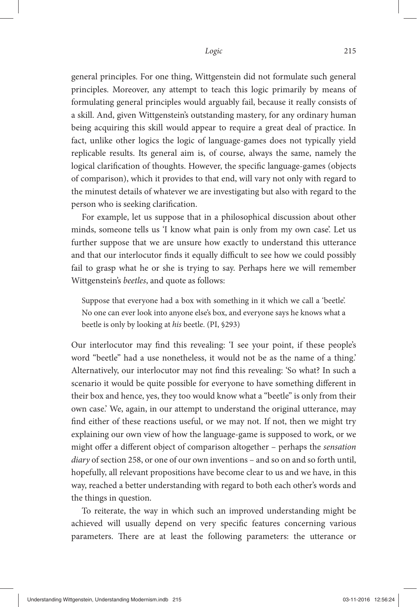general principles. For one thing, Wittgenstein did not formulate such general principles. Moreover, any attempt to teach this logic primarily by means of formulating general principles would arguably fail, because it really consists of a skill. And, given Wittgenstein's outstanding mastery, for any ordinary human being acquiring this skill would appear to require a great deal of practice. In fact, unlike other logics the logic of language-games does not typically yield replicable results. Its general aim is, of course, always the same, namely the logical clarification of thoughts. However, the specific language-games (objects of comparison), which it provides to that end, will vary not only with regard to the minutest details of whatever we are investigating but also with regard to the person who is seeking clarification.

 For example, let us suppose that in a philosophical discussion about other minds, someone tells us 'I know what pain is only from my own case'. Let us further suppose that we are unsure how exactly to understand this utterance and that our interlocutor finds it equally difficult to see how we could possibly fail to grasp what he or she is trying to say. Perhaps here we will remember Wittgenstein's *beetles*, and quote as follows:

Suppose that everyone had a box with something in it which we call a 'beetle'. No one can ever look into anyone else's box, and everyone says he knows what a beetle is only by looking at *his* beetle. (PI, § 293)

Our interlocutor may find this revealing: 'I see your point, if these people's word "beetle" had a use nonetheless, it would not be as the name of a thing.' Alternatively, our interlocutor may not find this revealing: 'So what? In such a scenario it would be quite possible for everyone to have something different in their box and hence, yes, they too would know what a " beetle " is only from their own case.' We, again, in our attempt to understand the original utterance, may find either of these reactions useful, or we may not. If not, then we might try explaining our own view of how the language-game is supposed to work, or we might offer a different object of comparison altogether – perhaps the *sensation diary* of section 258, or one of our own inventions – and so on and so forth until, hopefully, all relevant propositions have become clear to us and we have, in this way, reached a better understanding with regard to both each other's words and the things in question.

To reiterate, the way in which such an improved understanding might be achieved will usually depend on very specific features concerning various parameters. There are at least the following parameters: the utterance or